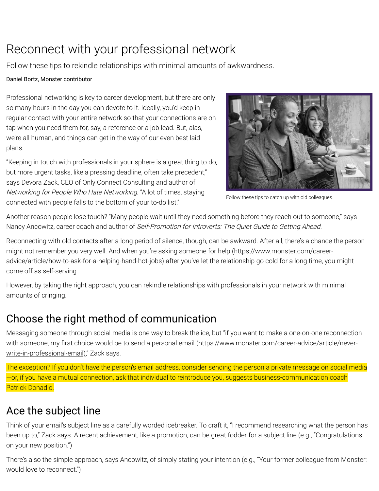# Reconnect with your professional network

Follow these tips to rekindle relationships with minimal amounts of awkwardness.

#### Daniel Bortz, Monster contributor

Professional networking is key to career development, but there are only so many hours in the day you can devote to it. Ideally, you'd keep in regular contact with your entire network so that your connections are on tap when you need them for, say, a reference or a job lead. But, alas, we're all human, and things can get in the way of our even best laid plans.

"Keeping in touch with professionals in your sphere is a great thing to do, but more urgent tasks, like a pressing deadline, often take precedent," says Devora Zack, CEO of Only Connect Consulting and author of Networking for People Who Hate Networking. "A lot of times, staying connected with people falls to the bottom of your to-do list."



Follow these tips to catch up with old colleagues.

Another reason people lose touch? "Many people wait until they need something before they reach out to someone," says Nancy Ancowitz, career coach and author of Self-Promotion for Introverts: The Quiet Guide to Getting Ahead.

Reconnecting with old contacts after a long period of silence, though, can be awkward. After all, there's a chance the person [might not remember you very well. And when you're asking someone for help \(https://www.monster.com/career](https://www.monster.com/career-advice/article/how-to-ask-for-a-helping-hand-hot-jobs)advice/article/how-to-ask-for-a-helping-hand-hot-jobs) after you've let the relationship go cold for a long time, you might come off as self-serving.

However, by taking the right approach, you can rekindle relationships with professionals in your network with minimal amounts of cringing.

## Choose the right method of communication

Messaging someone through social media is one way to break the ice, but "if you want to make a one-on-one reconnection with someone, my first choice would be to send a personal email (https://www.monster.com/career-advice/article/neverwrite-in-professional-email)," Zack says.

The exception? If you don't have the person's email address, consider sending the person a private message on social media —or, if you have a mutual connection, ask that individual to reintroduce you, suggests business-communication coach Patrick Donadio.

## Ace the subject line

Think of your email's subject line as a carefully worded icebreaker. To craft it, "I recommend researching what the person has been up to," Zack says. A recent achievement, like a promotion, can be great fodder for a subject line (e.g., "Congratulations on your new position.")

There's also the simple approach, says Ancowitz, of simply stating your intention (e.g., "Your former colleague from Monster: would love to reconnect.")